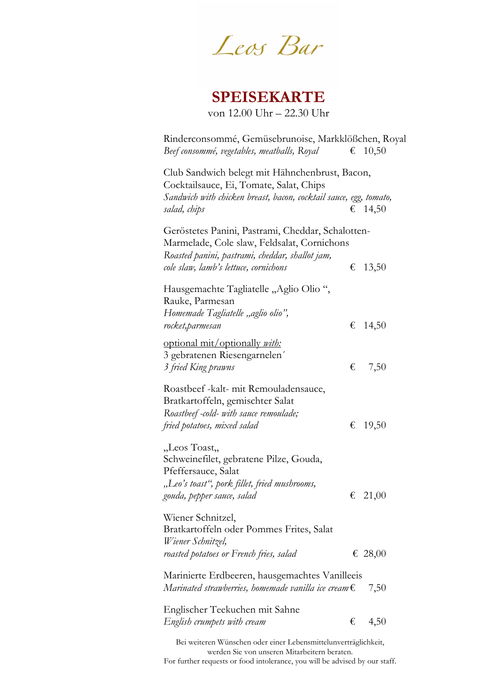Leos Bar

# **SPEISEKARTE**

von 12.00 Uhr – 22.30 Uhr

| Rinderconsommé, Gemüsebrunoise, Markklößchen, Royal<br>Beef consommé, vegetables, meatballs, Royal |   | € 10,50 |
|----------------------------------------------------------------------------------------------------|---|---------|
| Club Sandwich belegt mit Hähnchenbrust, Bacon,                                                     |   |         |
| Cocktailsauce, Ei, Tomate, Salat, Chips                                                            |   |         |
| Sandwich with chicken breast, bacon, cocktail sauce, egg, tomato,                                  |   |         |
| salad, chips                                                                                       |   | € 14,50 |
| Geröstetes Panini, Pastrami, Cheddar, Schalotten-                                                  |   |         |
| Marmelade, Cole slaw, Feldsalat, Cornichons                                                        |   |         |
| Roasted panini, pastrami, cheddar, shallot jam,                                                    |   |         |
| cole slaw, lamb's lettuce, cornichons                                                              | € | 13,50   |
| Hausgemachte Tagliatelle "Aglio Olio",                                                             |   |         |
| Rauke, Parmesan                                                                                    |   |         |
| Homemade Tagliatelle "aglio olio",                                                                 |   |         |
| rocket,parmesan                                                                                    | € | 14,50   |
| optional mit/optionally with:                                                                      |   |         |
| 3 gebratenen Riesengarnelen                                                                        |   |         |
| 3 fried King prawns                                                                                | € | 7,50    |
| Roastbeef -kalt- mit Remouladensauce,                                                              |   |         |
| Bratkartoffeln, gemischter Salat                                                                   |   |         |
| Roastbeef -cold- with sauce remoulade;                                                             |   |         |
| fried potatoes, mixed salad                                                                        | € | 19,50   |
| "Leos Toast,,                                                                                      |   |         |
| Schweinefilet, gebratene Pilze, Gouda,                                                             |   |         |
| Pfeffersauce, Salat                                                                                |   |         |
| "Leo's toast", pork fillet, fried mushrooms,                                                       |   |         |
| gouda, pepper sauce, salad                                                                         | € | 21,00   |
| Wiener Schnitzel,                                                                                  |   |         |
| Bratkartoffeln oder Pommes Frites, Salat                                                           |   |         |
| Wiener Schnitzel,                                                                                  |   |         |
| roasted potatoes or French fries, salad                                                            |   | € 28,00 |
| Marinierte Erdbeeren, hausgemachtes Vanilleeis                                                     |   |         |
| Marinated strawberries, homemade vanilla ice cream $\epsilon$                                      |   | 7,50    |
| Englischer Teekuchen mit Sahne                                                                     |   |         |
| English crumpets with cream                                                                        | € | 4,50    |
|                                                                                                    |   |         |
| Bei weiteren Wünschen oder einer Lebensmittelunverträglichkeit,                                    |   |         |

werden Sie von unseren Mitarbeitern beraten. For further requests or food intolerance, you will be advised by our staff.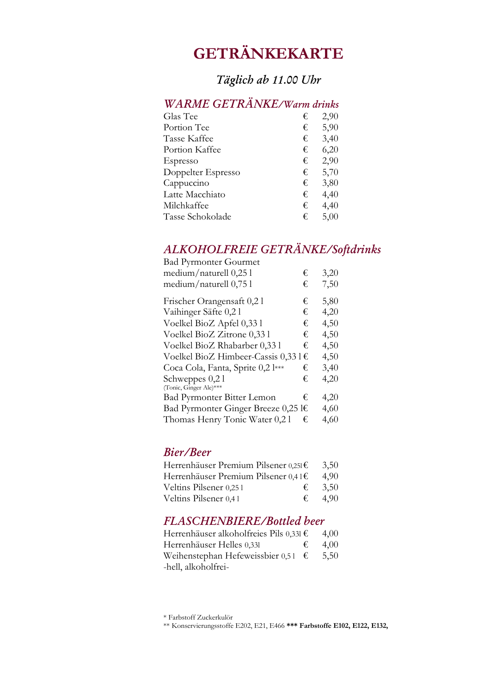# **GETRÄNKEKARTE**

## *Tgich ab 1100 Uhr*

## *WARME GETRÄNKE/Warm drinks*

| Glas Tee           | € | 2,90 |
|--------------------|---|------|
| Portion Tee        | € | 5,90 |
| Tasse Kaffee       | € | 3,40 |
| Portion Kaffee     | € | 6,20 |
| Espresso           | € | 2,90 |
| Doppelter Espresso | € | 5,70 |
| Cappuccino         | € | 3,80 |
| Latte Macchiato    | € | 4,40 |
| Milchkaffee        | € | 4,40 |
| Tasse Schokolade   | € | 5,00 |
|                    |   |      |

## *A H FREIE GETRES%ftdris*

| <b>Bad Pyrmonter Gourmet</b>         |   |      |
|--------------------------------------|---|------|
| medium/naturell $0,25$ l             | € | 3,20 |
| medium/naturell $0,75$ l             | € | 7,50 |
| Frischer Orangensaft 0,21            | € | 5,80 |
| Vaihinger Säfte 0,21                 | € | 4,20 |
| Voelkel BioZ Apfel 0,33 l            | € | 4,50 |
| Voelkel BioZ Zitrone 0,33 l          | € | 4,50 |
| Voelkel BioZ Rhabarber 0,33 l        | € | 4,50 |
| Voelkel BioZ Himbeer-Cassis 0,33 l € |   | 4,50 |
| Coca Cola, Fanta, Sprite 0,2 l***    | € | 3,40 |
| Schweppes $0,21$                     | € | 4,20 |
| (Tonic, Ginger Ale)***               |   |      |
| <b>Bad Pyrmonter Bitter Lemon</b>    | € | 4,20 |
| Bad Pyrmonter Ginger Breeze 0,25 l€  |   | 4,60 |
| Thomas Henry Tonic Water 0,2 l       | € | 4,60 |

#### *Bier/Beer*

| Herrenhäuser Premium Pilsener 0,251€ | 3,50 |
|--------------------------------------|------|
| Herrenhäuser Premium Pilsener 0,41€  | 4.90 |
| Veltins Pilsener 0,251<br>€          | 3,50 |
| Veltins Pilsener 0,41<br>€           | 4.90 |

### *FLASCHENBIERE/Bottled beer*

| Herrenhäuser alkoholfreies Pils 0,331 €     |   | 4.00 |
|---------------------------------------------|---|------|
| Herrenhäuser Helles 0,331                   | € | 4.00 |
| Weihenstephan Hefeweissbier 0,51 $\epsilon$ |   | 5,50 |
| -hell, alkoholfrei-                         |   |      |

\* Farbstoff Zuckerkulör

\*\* Konservierungsstoffe E202, E21, E466 **\*\*\* Farbstoffe E102, E122, E132,**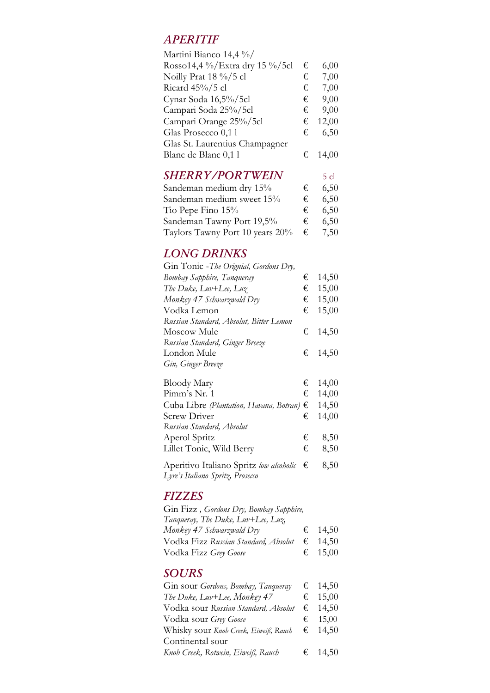### *APERITIF*

| Martini Bianco 14,4 %/         |    |       |
|--------------------------------|----|-------|
| Rosso14,4 %/Extra dry 15 %/5cl | €  | 6,00  |
| Noilly Prat 18 %/5 cl          | €  | 7,00  |
| Ricard 45%/5 cl                | €  | 7,00  |
| Cynar Soda 16,5%/5cl           | €  | 9,00  |
| Campari Soda 25%/5cl           | €  | 9,00  |
| Campari Orange 25%/5cl         | €  | 12,00 |
| Glas Prosecco 0,1 l            | €∴ | 6,50  |
| Glas St. Laurentius Champagner |    |       |
| Blanc de Blanc 0,1 l           | €  | 14.00 |
|                                |    |       |

#### **SHERRY/PORTWEIN** 5 cl

| Sandeman medium dry 15%         | €  | 6,50 |
|---------------------------------|----|------|
| Sandeman medium sweet 15%       | €∴ | 6,50 |
| Tio Pepe Fino 15%               | €  | 6,50 |
| Sandeman Tawny Port 19,5%       | €  | 6,50 |
| Taylors Tawny Port 10 years 20% | €  | 7,50 |

### *LONG DRINKS*

| Gin Tonic - The Orignial, Gordons Dry,  |   |         |
|-----------------------------------------|---|---------|
| Bombay Sapphire, Tanqueray              | € | 14,50   |
| The Duke, $Luv+Lee$ , $Luz$             | € | 15,00   |
| Monkey 47 Schwarzwald Dry               | € | 15,00   |
| Vodka Lemon                             | € | 15,00   |
| Russian Standard, Absolut, Bitter Lemon |   |         |
| Moscow Mule                             |   | € 14,50 |
| Russian Standard, Ginger Breeze         |   |         |
| London Mule                             |   | € 14,50 |
| Gin, Ginger Breeze                      |   |         |
| <b>Bloody Mary</b>                      |   | € 14,00 |

| <b>DIOOGY ITELY</b>                                |   | $\sim$ 1400 |
|----------------------------------------------------|---|-------------|
| Pimm's Nr. 1                                       |   | € 14,00     |
| Cuba Libre (Plantation, Havana, Botran) $\epsilon$ |   | 14,50       |
| <b>Screw Driver</b>                                |   | € 14,00     |
| Russian Standard, Absolut                          |   |             |
| Aperol Spritz                                      | € | 8,50        |
| Lillet Tonic, Wild Berry                           | € | 8,50        |
| Aperitivo Italiano Spritz low alcoholic €          |   | 8,50        |

*Lyre's Italiano Spritz, Prosecco* 

## $FIZZES$

| Gin Fizz, Gordons Dry, Bombay Sapphire,               |         |
|-------------------------------------------------------|---------|
| Tanqueray, The Duke, Luv+Lee, Luz,                    |         |
| Monkey 47 Schwarzwald Dry                             | € 14,50 |
| Vodka Fizz Russian Standard, Absolut $\epsilon$ 14,50 |         |
| Vodka Fizz Grey Goose                                 | € 15,00 |

## $SOLRS$

| Gin sour Gordons, Bombay, Tanqueray          |   | € 14,50 |
|----------------------------------------------|---|---------|
| The Duke, Luv+Lee, Monkey 47                 |   | € 15,00 |
| Vodka sour R <i>ussian Standard, Absolut</i> |   | € 14,50 |
| Vodka sour Grey Goose                        | € | 15,00   |
| Whisky sour Knob Creek, Eiweiß, Rauch        |   | € 14,50 |
| Continental sour                             |   |         |
| Knob Creek, Rotwein, Eiweiß, Rauch           |   | € 14,50 |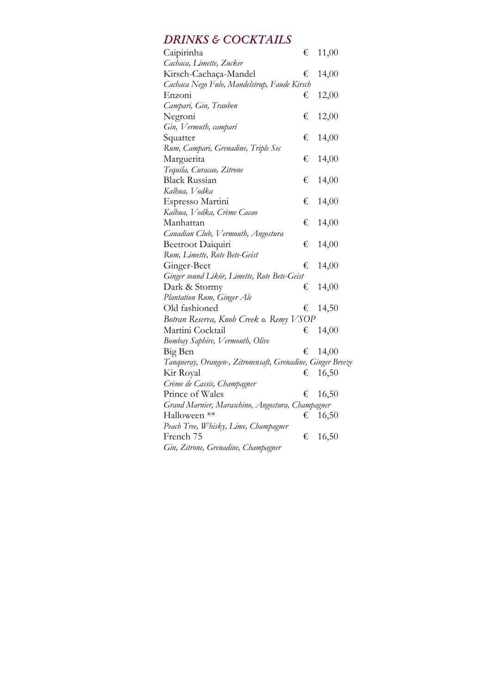## **DRINKS & COCKTAILS**

| Caipirinha                                                  | € | 11,00 |  |
|-------------------------------------------------------------|---|-------|--|
| Cachaca, Limette, Zucker                                    |   |       |  |
| Kirsch-Cachaça-Mandel                                       | € | 14,00 |  |
| Cachaca Nego Fulo, Mandelsirup, Faude Kirsch                |   |       |  |
| Enzoni                                                      | € | 12,00 |  |
| Campari, Gin, Trauben                                       |   |       |  |
| Negroni                                                     | € | 12,00 |  |
| Gin, Vermuth, campari                                       |   |       |  |
| Squatter                                                    | € | 14,00 |  |
| Rum, Campari, Grenadine, Triple Sec                         |   |       |  |
| Marguerita                                                  | € | 14,00 |  |
| Tequila, Curacao, Zitrone                                   |   |       |  |
| <b>Black Russian</b>                                        | € | 14,00 |  |
| Kalhua, Vodka                                               |   |       |  |
| Espresso Martini                                            | € | 14,00 |  |
| Kalhua, Vodka, Crème Cacao                                  |   |       |  |
| Manhattan                                                   | € | 14,00 |  |
| Canadian Club, Vermouth, Angostura                          |   |       |  |
| Beetroot Daiquiri                                           | € | 14,00 |  |
| Rum, Limette, Rote Bete-Geist                               |   |       |  |
| Ginger-Beet                                                 | € | 14,00 |  |
| Ginger sound Likor, Limette, Rote Bete-Geist                |   |       |  |
| Dark & Stormy                                               | € | 14,00 |  |
| Plantation Rum, Ginger Ale                                  |   |       |  |
| Old fashioned                                               | € | 14,50 |  |
| Botran Reserva, Knob Creek o. Remy VSOP                     |   |       |  |
| Martini Cocktail                                            | € | 14,00 |  |
| Bombay Saphire, Vermouth, Olive                             |   |       |  |
| Big Ben                                                     | € | 14,00 |  |
| Tanqueray, Orangen-, Zitronensaft, Grenadine, Ginger Breeze |   |       |  |
| Kir Royal                                                   | € | 16,50 |  |
| Crème de Cassis, Champagner                                 |   |       |  |
| Prince of Wales                                             | € | 16,50 |  |
| Grand Marnier, Maraschino, Angostura, Champagner            |   |       |  |
| Halloween **                                                | € | 16,50 |  |
| Peach Tree, Whisky, Lime, Champagner                        |   |       |  |
| French 75                                                   | € | 16,50 |  |
| Gin, Zitrone, Grenadine, Champagner                         |   |       |  |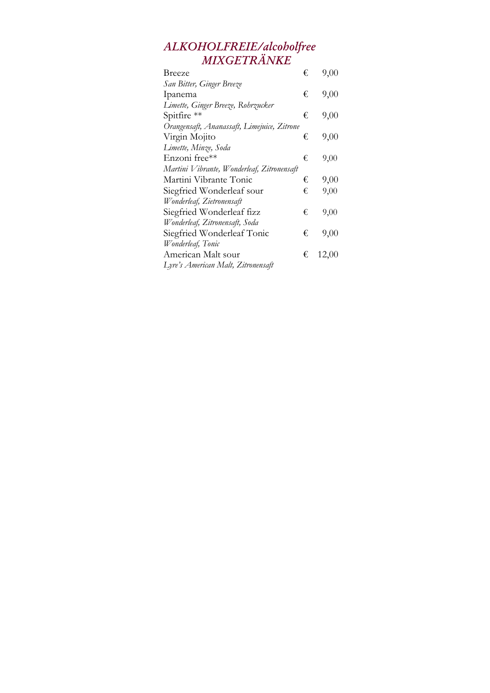### *ALKOHOLFREIE/alcoholfree MIXGETRÄNKE*

| Breeze                                      | € | 9,00  |
|---------------------------------------------|---|-------|
| San Bitter, Ginger Breeze                   |   |       |
| Ipanema                                     | € | 9,00  |
| Limette, Ginger Breeze, Rohrzucker          |   |       |
| Spitfire **                                 | € | 9,00  |
| Orangensaft, Ananassaft, Limejuice, Zitrone |   |       |
| Virgin Mojito                               | € | 9,00  |
| Limette, Minze, Soda                        |   |       |
| Enzoni free**                               | € | 9,00  |
| Martini Vibrante, Wonderleaf, Zitronensaft  |   |       |
| Martini Vibrante Tonic                      | € | 9,00  |
| Siegfried Wonderleaf sour                   | € | 9,00  |
| Wonderleaf, Zietronensaft                   |   |       |
| Siegfried Wonderleaf fizz                   | € | 9,00  |
| Wonderleaf, Zitronensaft, Soda              |   |       |
| Siegfried Wonderleaf Tonic                  | € | 9,00  |
| Wonderleaf, Tonic                           |   |       |
| American Malt sour                          | € | 12,00 |
| Lyre's American Malt, Zitronensaft          |   |       |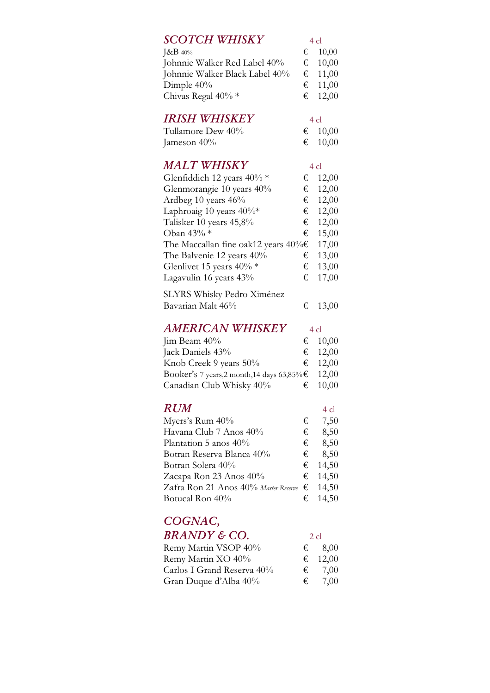#### **SCOTCH WHISKY** 4 cl

| $\&B_{40\%}$                   | $\epsilon$ 10.00 |
|--------------------------------|------------------|
| Johnnie Walker Red Label 40%   | $\epsilon$ 10,00 |
| Johnnie Walker Black Label 40% | € 11,00          |
| Dimple $40\%$                  | € 11,00          |
| Chivas Regal $40\%$ *          | € 12,00          |

#### *IRISH WHISKEY* 4 cl

| Tullamore Dew 40% | € 10,00 |
|-------------------|---------|
| Jameson 40%       | € 10,00 |

#### *MALT WHISKY* 4 cl

| Glenfiddich 12 years $40\%$ *                  | € | 12,00 |
|------------------------------------------------|---|-------|
| Glenmorangie 10 years 40%                      | € | 12,00 |
| Ardbeg 10 years 46%                            | € | 12,00 |
| Laphroaig 10 years $40\%*$                     | € | 12,00 |
| Talisker 10 years 45,8%                        | € | 12,00 |
| Oban 43% *                                     | € | 15,00 |
| The Maccallan fine oak12 years $40\% \text{E}$ |   | 17,00 |
| The Balvenie 12 years 40%                      | € | 13,00 |
| Glenlivet 15 years $40\%$ *                    | € | 13,00 |
| Lagavulin 16 years 43%                         | € | 17,00 |
| SLYRS Whisky Pedro Ximénez                     |   |       |

## Bavarian Malt  $46\%$   $\qquad \qquad \text{\textsterling} 13,00$

#### *AMERICAN WHISKEY* 4 cl

| Jim Beam 40%                                             | € $10,00$ |
|----------------------------------------------------------|-----------|
| Jack Daniels 43%                                         | € 12,00   |
| Knob Creek 9 years 50%                                   | € 12,00   |
| Booker's 7 years,2 month,14 days 63,85% $\epsilon$ 12,00 |           |
| Canadian Club Whisky 40%                                 | € $10,00$ |

### $RUM$  4 cl

| Myers's Rum 40%                                       | € | 7,50    |
|-------------------------------------------------------|---|---------|
| Havana Club 7 Anos 40%                                | € | 8,50    |
| Plantation 5 anos 40%                                 | € | 8,50    |
| Botran Reserva Blanca 40%                             | € | 8,50    |
| Botran Solera 40%                                     |   | € 14,50 |
| Zacapa Ron 23 Anos 40%                                |   | € 14,50 |
| Zafra Ron 21 Anos 40% Master Reserve $\epsilon$ 14,50 |   |         |
| Botucal Ron 40%                                       | € | 14,50   |

# $COGNAC$ ,

## $BRANDY \& CO.$  2 cl

| Remy Martin VSOP 40%       |   | $\epsilon$ 8,00 |
|----------------------------|---|-----------------|
| Remy Martin XO 40%         |   | € 12,00         |
| Carlos I Grand Reserva 40% | € | 7.00            |
| Gran Duque d'Alba 40%      | € | 7.00            |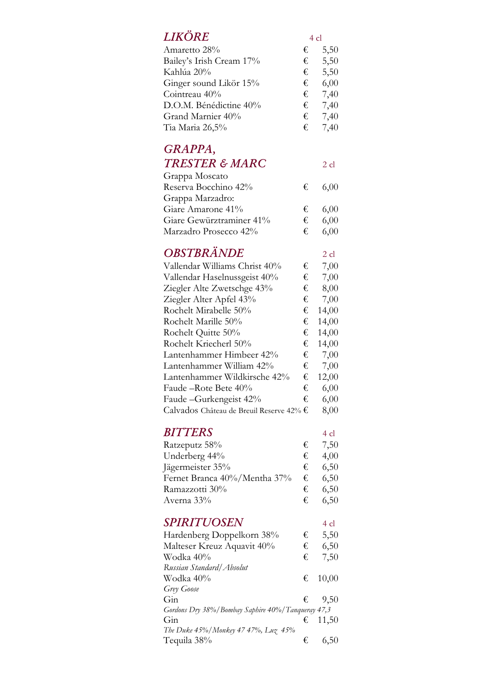## *IIVÖDE*

| LIAUKE                   | 4 cl |      |
|--------------------------|------|------|
| Amaretto 28%             | €    | 5,50 |
| Bailey's Irish Cream 17% | €    | 5,50 |
| Kahlúa 20%               | €    | 5,50 |
| Ginger sound Likör 15%   | €    | 6,00 |
| Cointreau 40%            | €    | 7,40 |
| D.O.M. Bénédictine 40%   | €    | 7,40 |
| Grand Marnier 40%        | €    | 7,40 |
| Tia Maria 26,5%          | €    | 7,40 |
|                          |      |      |

# GRAPPA,

## TRESTER & MARC 2 cl

| Grappa Moscato           |    |                |
|--------------------------|----|----------------|
| Reserva Bocchino 42%     | €  | 6,00           |
| Grappa Marzadro:         |    |                |
| Giare Amarone 41%        | €  | 6,00           |
| Giare Gewürztraminer 41% | €  | 6,00           |
| Marzadro Prosecco 42%    | €∴ | $6.00^{\circ}$ |

## *OBSTBRÄNDE* 2 cl

| Vallendar Williams Christ 40%            | € | 7,00  |
|------------------------------------------|---|-------|
| Vallendar Haselnussgeist 40%             | € | 7,00  |
| Ziegler Alte Zwetschge 43%               | € | 8,00  |
| Ziegler Alter Apfel 43%                  | € | 7,00  |
| Rochelt Mirabelle 50%                    | € | 14,00 |
| Rochelt Marille 50%                      | € | 14,00 |
| Rochelt Quitte 50%                       | € | 14,00 |
| Rochelt Kriecherl 50%                    | € | 14,00 |
| Lantenhammer Himbeer 42%                 | € | 7,00  |
| Lantenhammer William 42%                 | € | 7,00  |
| Lantenhammer Wildkirsche 42%             | € | 12,00 |
| Faude –Rote Bete 40%                     | € | 6,00  |
| Faude - Gurkengeist 42%                  | € | 6,00  |
| Calvados Château de Breuil Reserve 42% € |   | 8,00  |

## *BITTERS* 4 cl

| Ratzeputz 58%                | €∴ | 7,50 |
|------------------------------|----|------|
| Underberg 44%                | €  | 4,00 |
| Jägermeister 35%             | €  | 6,50 |
| Fernet Branca 40%/Mentha 37% | €  | 6.50 |
| Ramazzotti 30%               | €  | 6,50 |
| Averna 33%                   | €  | 6,50 |

### **SPIRITUOSEN** 4 cl

| Hardenberg Doppelkorn 38%                             | € | 5,50            |
|-------------------------------------------------------|---|-----------------|
| Malteser Kreuz Aquavit 40%                            | € | 6,50            |
| Wodka 40%                                             | € | 7,50            |
| Russian Standard/Absolut                              |   |                 |
| Wodka 40%                                             |   | € $10,00$       |
| Grey Goose                                            |   |                 |
| $G$ in                                                |   | $\epsilon$ 9.50 |
| Gordons Dry 38% / Bombay Saphire 40% / Tanqueray 47,3 |   |                 |
| Gin                                                   | € | 11,50           |
| The Duke 45%/Monkey 47 47%, Luz 45%                   |   |                 |
| Tequila 38%                                           | € |                 |